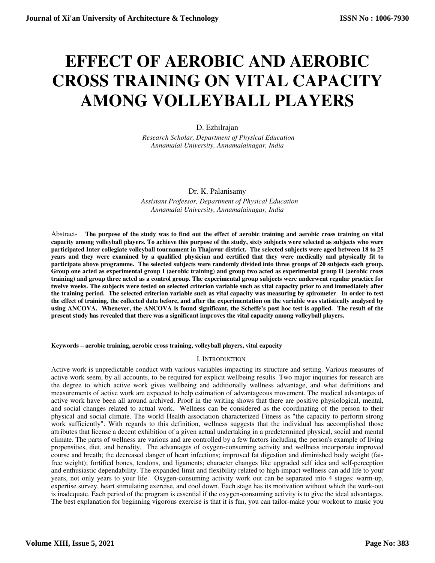# **EFFECT OF AEROBIC AND AEROBIC CROSS TRAINING ON VITAL CAPACITY AMONG VOLLEYBALL PLAYERS**

# D. Ezhilrajan

 *Research Scholar, Department of Physical Education Annamalai University, Annamalainagar, India* 

## Dr. K. Palanisamy

 *Assistant Professor, Department of Physical Education Annamalai University, Annamalainagar, India* 

Abstract- **The purpose of the study was to find out the effect of aerobic training and aerobic cross training on vital capacity among volleyball players. To achieve this purpose of the study, sixty subjects were selected as subjects who were participated Inter collegiate volleyball tournament in Thajavur district. The selected subjects were aged between 18 to 25 years and they were examined by a qualified physician and certified that they were medically and physically fit to participate above programme. The selected subjects were randomly divided into three groups of 20 subjects each group. Group one acted as experimental group I (aerobic training) and group two acted as experimental group II (aerobic cross training) and group three acted as a control group. The experimental group subjects were underwent regular practice for twelve weeks. The subjects were tested on selected criterion variable such as vital capacity prior to and immediately after the training period. The selected criterion variable such as vital capacity was measuring by spirometer**. **In order to test the effect of training, the collected data before, and after the experimentation on the variable was statistically analysed by using ANCOVA. Whenever, the ANCOVA is found significant, the Scheffe's post hoc test is applied. The result of the present study has revealed that there was a significant improves the vital capacity among volleyball players.** 

**Keywords – aerobic training, aerobic cross training, volleyball players, vital capacity** 

### I. INTRODUCTION

Active work is unpredictable conduct with various variables impacting its structure and setting. Various measures of active work seem, by all accounts, to be required for explicit wellbeing results. Two major inquiries for research are the degree to which active work gives wellbeing and additionally wellness advantage, and what definitions and measurements of active work are expected to help estimation of advantageous movement. The medical advantages of active work have been all around archived. Proof in the writing shows that there are positive physiological, mental, and social changes related to actual work. Wellness can be considered as the coordinating of the person to their physical and social climate. The world Health association characterized Fitness as "the capacity to perform strong work sufficiently". With regards to this definition, wellness suggests that the individual has accomplished those attributes that license a decent exhibition of a given actual undertaking in a predetermined physical, social and mental climate. The parts of wellness are various and are controlled by a few factors including the person's example of living propensities, diet, and heredity. The advantages of oxygen-consuming activity and wellness incorporate improved course and breath; the decreased danger of heart infections; improved fat digestion and diminished body weight (fatfree weight); fortified bones, tendons, and ligaments; character changes like upgraded self idea and self-perception and enthusiastic dependability. The expanded limit and flexibility related to high-impact wellness can add life to your years, not only years to your life. Oxygen-consuming activity work out can be separated into 4 stages: warm-up, expertise survey, heart stimulating exercise, and cool down. Each stage has its motivation without which the work-out is inadequate. Each period of the program is essential if the oxygen-consuming activity is to give the ideal advantages. The best explanation for beginning vigorous exercise is that it is fun, you can tailor-make your workout to music you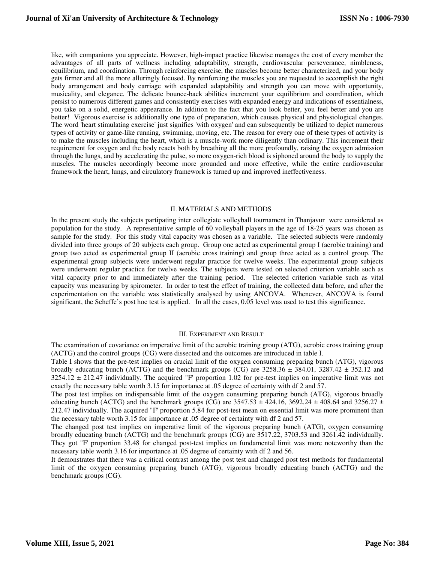like, with companions you appreciate. However, high-impact practice likewise manages the cost of every member the advantages of all parts of wellness including adaptability, strength, cardiovascular perseverance, nimbleness, equilibrium, and coordination. Through reinforcing exercise, the muscles become better characterized, and your body gets firmer and all the more alluringly focused. By reinforcing the muscles you are requested to accomplish the right body arrangement and body carriage with expanded adaptability and strength you can move with opportunity, musicality, and elegance. The delicate bounce-back abilities increment your equilibrium and coordination, which persist to numerous different games and consistently exercises with expanded energy and indications of essentialness, you take on a solid, energetic appearance. In addition to the fact that you look better, you feel better and you are better! Vigorous exercise is additionally one type of preparation, which causes physical and physiological changes. The word 'heart stimulating exercise' just signifies 'with oxygen' and can subsequently be utilized to depict numerous types of activity or game-like running, swimming, moving, etc. The reason for every one of these types of activity is to make the muscles including the heart, which is a muscle-work more diligently than ordinary. This increment their requirement for oxygen and the body reacts both by breathing all the more profoundly, raising the oxygen admission through the lungs, and by accelerating the pulse, so more oxygen-rich blood is siphoned around the body to supply the muscles. The muscles accordingly become more grounded and more effective, while the entire cardiovascular framework the heart, lungs, and circulatory framework is turned up and improved ineffectiveness.

#### II. MATERIALS AND METHODS

In the present study the subjects partipating inter collegiate volleyball tournament in Thanjavur were considered as population for the study. A representative sample of 60 volleyball players in the age of 18-25 years was chosen as sample for the study. For this study vital capacity was chosen as a variable. The selected subjects were randomly divided into three groups of 20 subjects each group. Group one acted as experimental group I (aerobic training) and group two acted as experimental group II (aerobic cross training) and group three acted as a control group. The experimental group subjects were underwent regular practice for twelve weeks. The experimental group subjects were underwent regular practice for twelve weeks. The subjects were tested on selected criterion variable such as vital capacity prior to and immediately after the training period. The selected criterion variable such as vital capacity was measuring by spirometer. In order to test the effect of training, the collected data before, and after the experimentation on the variable was statistically analysed by using ANCOVA. Whenever, ANCOVA is found significant, the Scheffe's post hoc test is applied.In all the cases, 0.05 level was used to test this significance.

#### III. EXPERIMENT AND RESULT

The examination of covariance on imperative limit of the aerobic training group (ATG), aerobic cross training group (ACTG) and the control groups (CG) were dissected and the outcomes are introduced in table I.

Table I shows that the pre-test implies on crucial limit of the oxygen consuming preparing bunch (ATG), vigorous broadly educating bunch (ACTG) and the benchmark groups (CG) are  $3258.36 \pm 384.01$ ,  $3287.42 \pm 352.12$  and  $3254.12 \pm 212.47$  individually. The acquired "F' proportion 1.02 for pre-test implies on imperative limit was not exactly the necessary table worth 3.15 for importance at .05 degree of certainty with df 2 and 57.

The post test implies on indispensable limit of the oxygen consuming preparing bunch (ATG), vigorous broadly educating bunch (ACTG) and the benchmark groups (CG) are  $3547.53 \pm 424.16$ ,  $3692.24 \pm 408.64$  and  $3256.27 \pm 424.16$ 212.47 individually. The acquired "F' proportion 5.84 for post-test mean on essential limit was more prominent than the necessary table worth 3.15 for importance at .05 degree of certainty with df 2 and 57.

The changed post test implies on imperative limit of the vigorous preparing bunch (ATG), oxygen consuming broadly educating bunch (ACTG) and the benchmark groups (CG) are 3517.22, 3703.53 and 3261.42 individually. They got "F' proportion 33.48 for changed post-test implies on fundamental limit was more noteworthy than the necessary table worth 3.16 for importance at .05 degree of certainty with df 2 and 56.

It demonstrates that there was a critical contrast among the post test and changed post test methods for fundamental limit of the oxygen consuming preparing bunch (ATG), vigorous broadly educating bunch (ACTG) and the benchmark groups (CG).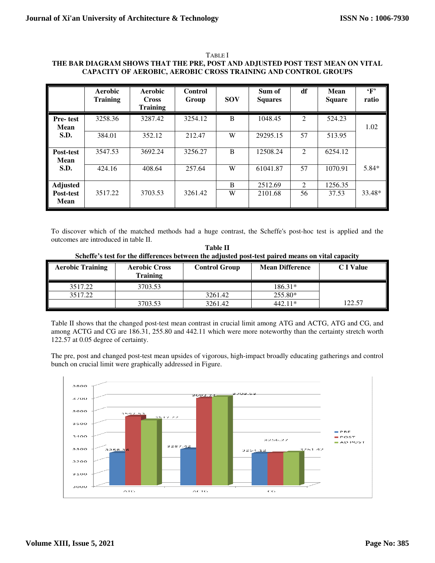| <b>TABLE</b> 1                                                                |
|-------------------------------------------------------------------------------|
| THE BAR DIAGRAM SHOWS THAT THE PRE, POST AND ADJUSTED POST TEST MEAN ON VITAL |
| <b>CAPACITY OF AEROBIC, AEROBIC CROSS TRAINING AND CONTROL GROUPS</b>         |

|                                | Aerobic<br><b>Training</b> | Aerobic<br><b>Cross</b><br><b>Training</b> | Control<br>Group | <b>SOV</b> | Sum of<br><b>Squares</b> | df             | Mean<br><b>Square</b> | $\cdot_F$<br>ratio |
|--------------------------------|----------------------------|--------------------------------------------|------------------|------------|--------------------------|----------------|-----------------------|--------------------|
| <b>Pre-test</b><br><b>Mean</b> | 3258.36                    | 3287.42                                    | 3254.12          | B          | 1048.45                  | $\overline{2}$ | 524.23                | 1.02               |
| S.D.                           | 384.01                     | 352.12                                     | 212.47           | W          | 29295.15                 | 57             | 513.95                |                    |
| Post-test<br>Mean              | 3547.53                    | 3692.24                                    | 3256.27          | B          | 12508.24                 | $\overline{2}$ | 6254.12               |                    |
| S.D.                           | 424.16                     | 408.64                                     | 257.64           | W          | 61041.87                 | 57             | 1070.91               | $5.84*$            |
| <b>Adjusted</b>                |                            |                                            |                  | B          | 2512.69                  | $\overline{2}$ | 1256.35               |                    |
| Post-test<br><b>Mean</b>       | 3517.22                    | 3703.53                                    | 3261.42          | W          | 2101.68                  | 56             | 37.53                 | 33.48*             |

To discover which of the matched methods had a huge contrast, the Scheffe's post-hoc test is applied and the outcomes are introduced in table II.

| Table II                                                                                         |  |  |  |  |  |  |  |  |
|--------------------------------------------------------------------------------------------------|--|--|--|--|--|--|--|--|
| Scheffe's test for the differences between the adjusted post-test paired means on vital capacity |  |  |  |  |  |  |  |  |

| <b>Aerobic Training</b> | <b>Aerobic Cross</b><br><b>Training</b> | <b>Control Group</b> | <b>Mean Difference</b> | <b>C</b> I Value |
|-------------------------|-----------------------------------------|----------------------|------------------------|------------------|
| 3517.22                 | 3703.53                                 |                      | $186.31*$              |                  |
| 3517.22                 |                                         | 3261.42              | 255.80*                |                  |
|                         | 3703.53                                 | 3261.42              | $\Delta$ 11*           | 122.57           |

Table II shows that the changed post-test mean contrast in crucial limit among ATG and ACTG, ATG and CG, and among ACTG and CG are 186.31, 255.80 and 442.11 which were more noteworthy than the certainty stretch worth 122.57 at 0.05 degree of certainty.

The pre, post and changed post-test mean upsides of vigorous, high-impact broadly educating gatherings and control bunch on crucial limit were graphically addressed in Figure.